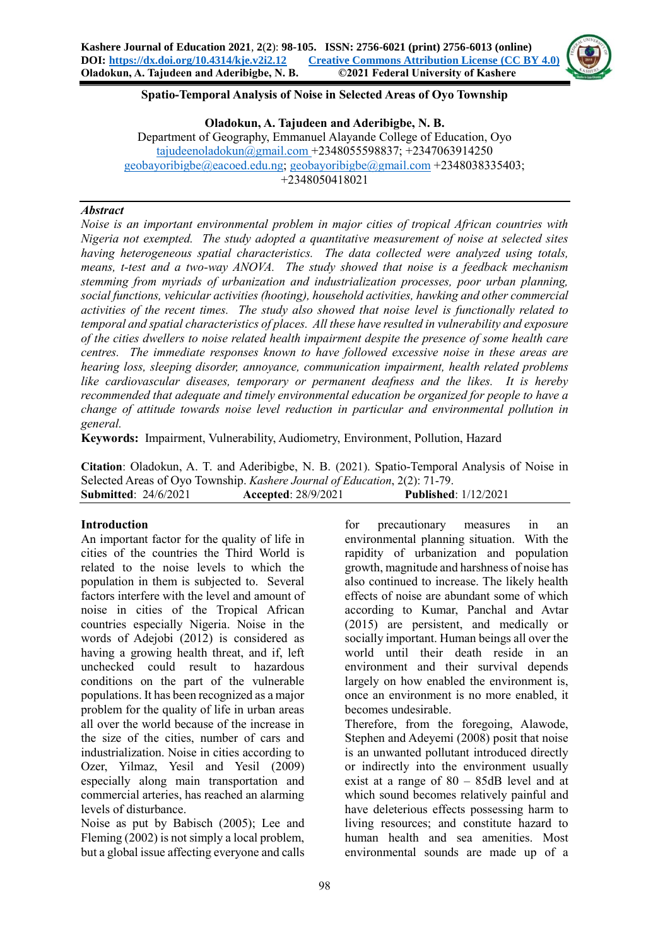

### **Spatio-Temporal Analysis of Noise in Selected Areas of Oyo Township**

**Oladokun, A. Tajudeen and Aderibigbe, N. B.** Department of Geography, Emmanuel Alayande College of Education, Oyo [tajudeenoladokun@gmail.com](mailto:tajudeenoladokun@gmail.com) +2348055598837; +2347063914250 [geobayoribigbe@eacoed.edu.ng;](mailto:geobayoribigbe@eacoed.edu.ng) [geobayoribigbe@gmail.com](mailto:geobayoribigbe@gmail.com) +2348038335403; +2348050418021

#### *Abstract*

*Noise is an important environmental problem in major cities of tropical African countries with Nigeria not exempted. The study adopted a quantitative measurement of noise at selected sites having heterogeneous spatial characteristics. The data collected were analyzed using totals, means, t-test and a two-way ANOVA. The study showed that noise is a feedback mechanism stemming from myriads of urbanization and industrialization processes, poor urban planning, social functions, vehicular activities (hooting), household activities, hawking and other commercial activities of the recent times. The study also showed that noise level is functionally related to temporal and spatial characteristics of places. All these have resulted in vulnerability and exposure of the cities dwellers to noise related health impairment despite the presence of some health care centres. The immediate responses known to have followed excessive noise in these areas are hearing loss, sleeping disorder, annoyance, communication impairment, health related problems like cardiovascular diseases, temporary or permanent deafness and the likes. It is hereby recommended that adequate and timely environmental education be organized for people to have a change of attitude towards noise level reduction in particular and environmental pollution in general.*

**Keywords:** Impairment, Vulnerability, Audiometry, Environment, Pollution, Hazard

**Citation**: Oladokun, A. T. and Aderibigbe, N. B. (2021). Spatio-Temporal Analysis of Noise in Selected Areas of Oyo Township. *Kashere Journal of Education*, 2(2): 71-79. **Submitted**: 24/6/2021 **Accepted**: 28/9/2021 **Published**: 1/12/2021

### **Introduction**

An important factor for the quality of life in cities of the countries the Third World is related to the noise levels to which the population in them is subjected to. Several factors interfere with the level and amount of noise in cities of the Tropical African countries especially Nigeria. Noise in the words of Adejobi (2012) is considered as having a growing health threat, and if, left unchecked could result to hazardous conditions on the part of the vulnerable populations. It has been recognized as a major problem for the quality of life in urban areas all over the world because of the increase in the size of the cities, number of cars and industrialization. Noise in cities according to Ozer, Yilmaz, Yesil and Yesil (2009) especially along main transportation and commercial arteries, has reached an alarming levels of disturbance.

Noise as put by Babisch (2005); Lee and Fleming (2002) is not simply a local problem, but a global issue affecting everyone and calls

for precautionary measures in an environmental planning situation. With the rapidity of urbanization and population growth, magnitude and harshness of noise has also continued to increase. The likely health effects of noise are abundant some of which according to Kumar, Panchal and Avtar (2015) are persistent, and medically or socially important. Human beings all over the world until their death reside in an environment and their survival depends largely on how enabled the environment is, once an environment is no more enabled, it becomes undesirable.

Therefore, from the foregoing, Alawode, Stephen and Adeyemi (2008) posit that noise is an unwanted pollutant introduced directly or indirectly into the environment usually exist at a range of 80 – 85dB level and at which sound becomes relatively painful and have deleterious effects possessing harm to living resources; and constitute hazard to human health and sea amenities. Most environmental sounds are made up of a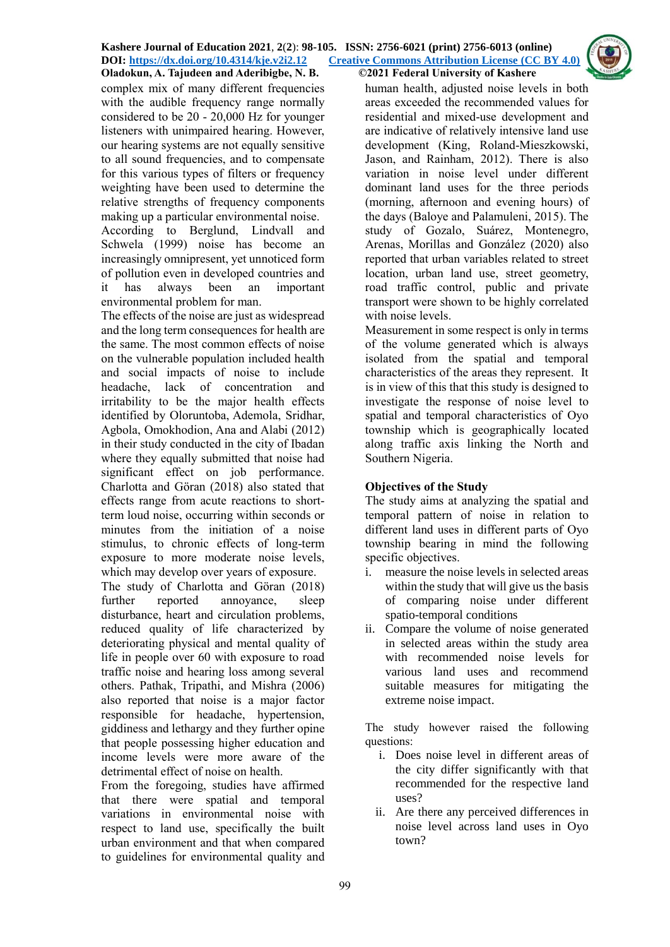complex mix of many different frequencies with the audible frequency range normally considered to be 20 - 20,000 Hz for younger listeners with unimpaired hearing. However, our hearing systems are not equally sensitive to all sound frequencies, and to compensate for this various types of filters or frequency weighting have been used to determine the relative strengths of frequency components making up a particular environmental noise. According to Berglund, Lindvall and Schwela (1999) noise has become an increasingly omnipresent, yet unnoticed form of pollution even in developed countries and it has always been an important

environmental problem for man. The effects of the noise are just as widespread and the long term consequences for health are the same. The most common effects of noise on the vulnerable population included health and social impacts of noise to include headache, lack of concentration and irritability to be the major health effects identified by Oloruntoba, Ademola, Sridhar, Agbola, Omokhodion, Ana and Alabi (2012) in their study conducted in the city of Ibadan where they equally submitted that noise had significant effect on job performance. Charlotta and Göran (2018) also stated that effects range from acute reactions to shortterm loud noise, occurring within seconds or minutes from the initiation of a noise stimulus, to chronic effects of long-term exposure to more moderate noise levels, which may develop over years of exposure.

The study of Charlotta and Göran (2018) further reported annoyance, sleep disturbance, heart and circulation problems, reduced quality of life characterized by deteriorating physical and mental quality of life in people over 60 with exposure to road traffic noise and hearing loss among several others. Pathak, Tripathi, and Mishra (2006) also reported that noise is a major factor responsible for headache, hypertension, giddiness and lethargy and they further opine that people possessing higher education and income levels were more aware of the detrimental effect of noise on health.

From the foregoing, studies have affirmed that there were spatial and temporal variations in environmental noise with respect to land use, specifically the built urban environment and that when compared to guidelines for environmental quality and

human health, adjusted noise levels in both areas exceeded the recommended values for residential and mixed-use development and are indicative of relatively intensive land use development (King, Roland-Mieszkowski, Jason, and Rainham, 2012). There is also variation in noise level under different dominant land uses for the three periods (morning, afternoon and evening hours) of the days (Baloye and Palamuleni, 2015). The study of Gozalo, Suárez, Montenegro, Arenas, Morillas and González (2020) also reported that urban variables related to street location, urban land use, street geometry, road traffic control, public and private transport were shown to be highly correlated with noise levels.

Measurement in some respect is only in terms of the volume generated which is always isolated from the spatial and temporal characteristics of the areas they represent. It is in view of this that this study is designed to investigate the response of noise level to spatial and temporal characteristics of Oyo township which is geographically located along traffic axis linking the North and Southern Nigeria.

# **Objectives of the Study**

The study aims at analyzing the spatial and temporal pattern of noise in relation to different land uses in different parts of Oyo township bearing in mind the following specific objectives.

- i. measure the noise levels in selected areas within the study that will give us the basis of comparing noise under different spatio-temporal conditions
- ii. Compare the volume of noise generated in selected areas within the study area with recommended noise levels for various land uses and recommend suitable measures for mitigating the extreme noise impact.

The study however raised the following questions:

- i. Does noise level in different areas of the city differ significantly with that recommended for the respective land uses?
- ii. Are there any perceived differences in noise level across land uses in Oyo town?

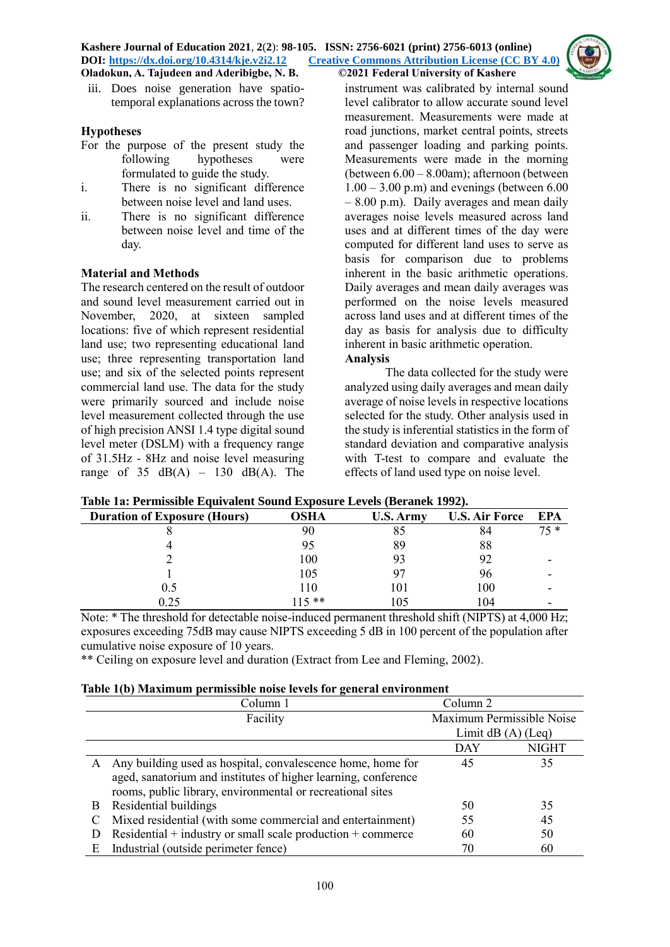#### **Kashere Journal of Education 2021**, **2**(**2**): **98-105. ISSN: 2756-6021 (print) 2756-6013 (online) DOI: <https://dx.doi.org/10.4314/kje.v2i2.12> [Creative Commons Attribution License](http://creativecommons.org/licenses/by/4.0/) (CC BY 4.0) Oladokun, A. Tajudeen and Aderibigbe, N. B. ©2021 Federal University of Kashere**



iii. Does noise generation have spatiotemporal explanations across the town?

## **Hypotheses**

- For the purpose of the present study the following hypotheses were formulated to guide the study.
- i. There is no significant difference between noise level and land uses.
- ii. There is no significant difference between noise level and time of the day.

## **Material and Methods**

The research centered on the result of outdoor and sound level measurement carried out in November, 2020, at sixteen sampled locations: five of which represent residential land use; two representing educational land use; three representing transportation land use; and six of the selected points represent commercial land use. The data for the study were primarily sourced and include noise level measurement collected through the use of high precision ANSI 1.4 type digital sound level meter (DSLM) with a frequency range of 31.5Hz - 8Hz and noise level measuring range of  $35$  dB(A) –  $130$  dB(A). The

instrument was calibrated by internal sound level calibrator to allow accurate sound level measurement. Measurements were made at road junctions, market central points, streets and passenger loading and parking points. Measurements were made in the morning (between 6.00 – 8.00am); afternoon (between  $1.00 - 3.00$  p.m) and evenings (between 6.00 – 8.00 p.m). Daily averages and mean daily averages noise levels measured across land uses and at different times of the day were computed for different land uses to serve as basis for comparison due to problems inherent in the basic arithmetic operations. Daily averages and mean daily averages was performed on the noise levels measured across land uses and at different times of the day as basis for analysis due to difficulty inherent in basic arithmetic operation. **Analysis**

The data collected for the study were analyzed using daily averages and mean daily average of noise levels in respective locations selected for the study. Other analysis used in the study is inferential statistics in the form of standard deviation and comparative analysis with T-test to compare and evaluate the effects of land used type on noise level.

| Table Ta, I climssible Equivalent Sound Exposure Levels (Defailer 1994). |        |           |                       |      |  |  |  |
|--------------------------------------------------------------------------|--------|-----------|-----------------------|------|--|--|--|
| <b>Duration of Exposure (Hours)</b>                                      | OSHA   | U.S. Army | <b>U.S. Air Force</b> | EPA  |  |  |  |
|                                                                          | 90     |           | 84                    | 75 * |  |  |  |
|                                                                          |        | 89        | 88                    |      |  |  |  |
|                                                                          | 100    |           | 92                    |      |  |  |  |
|                                                                          | 105    |           | 96                    |      |  |  |  |
| 0.5                                                                      | 110    | 101       | 100                   |      |  |  |  |
| 0.25                                                                     | $15**$ | 105       | 104                   |      |  |  |  |

**Table 1a: Permissible Equivalent Sound Exposure Levels (Beranek 1992).**

Note: \* The threshold for detectable noise-induced permanent threshold shift (NIPTS) at 4,000 Hz; exposures exceeding 75dB may cause NIPTS exceeding 5 dB in 100 percent of the population after cumulative noise exposure of 10 years.

\*\* Ceiling on exposure level and duration (Extract from Lee and Fleming, 2002).

### **Table 1(b) Maximum permissible noise levels for general environment**

|    | -<br>Column 1                                                   | Column 2                  |              |
|----|-----------------------------------------------------------------|---------------------------|--------------|
|    | Facility                                                        | Maximum Permissible Noise |              |
|    |                                                                 | Limit $dB(A)$ (Leq)       |              |
|    |                                                                 | <b>DAY</b>                | <b>NIGHT</b> |
| A  | Any building used as hospital, convalescence home, home for     | 45                        | 35           |
|    | aged, sanatorium and institutes of higher learning, conference  |                           |              |
|    | rooms, public library, environmental or recreational sites      |                           |              |
| B. | Residential buildings                                           | 50                        | 35           |
|    | Mixed residential (with some commercial and entertainment)      | 55                        | 45           |
|    | Residential $+$ industry or small scale production $+$ commerce | 60                        | 50           |
| E  | Industrial (outside perimeter fence)                            | 70                        | 60           |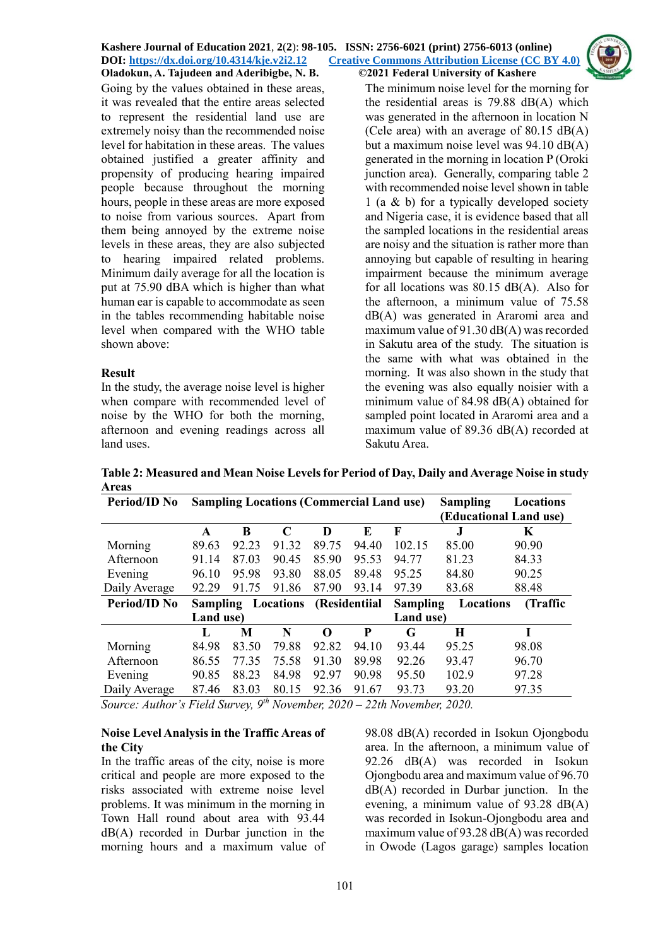Going by the values obtained in these areas, it was revealed that the entire areas selected to represent the residential land use are extremely noisy than the recommended noise level for habitation in these areas. The values obtained justified a greater affinity and propensity of producing hearing impaired people because throughout the morning hours, people in these areas are more exposed to noise from various sources. Apart from them being annoyed by the extreme noise levels in these areas, they are also subjected to hearing impaired related problems. Minimum daily average for all the location is put at 75.90 dBA which is higher than what human ear is capable to accommodate as seen in the tables recommending habitable noise level when compared with the WHO table shown above:

## **Result**

In the study, the average noise level is higher when compare with recommended level of noise by the WHO for both the morning, afternoon and evening readings across all land uses.

The minimum noise level for the morning for the residential areas is 79.88 dB(A) which was generated in the afternoon in location N (Cele area) with an average of 80.15 dB(A) but a maximum noise level was 94.10 dB(A) generated in the morning in location P (Oroki junction area). Generally, comparing table 2 with recommended noise level shown in table 1 (a & b) for a typically developed society and Nigeria case, it is evidence based that all the sampled locations in the residential areas are noisy and the situation is rather more than annoying but capable of resulting in hearing impairment because the minimum average for all locations was 80.15 dB(A). Also for the afternoon, a minimum value of 75.58 dB(A) was generated in Araromi area and maximum value of 91.30 dB(A) was recorded in Sakutu area of the study. The situation is the same with what was obtained in the morning. It was also shown in the study that the evening was also equally noisier with a minimum value of 84.98 dB(A) obtained for sampled point located in Araromi area and a maximum value of 89.36 dB(A) recorded at Sakutu Area.

**Table 2: Measured and Mean Noise Levels for Period of Day, Daily and Average Noise in study Areas** 

| Period/ID No        | <b>Sampling Locations (Commercial Land use)</b> |       |             |          |               | <b>Sampling</b> | Locations              |           |
|---------------------|-------------------------------------------------|-------|-------------|----------|---------------|-----------------|------------------------|-----------|
|                     |                                                 |       |             |          |               |                 | (Educational Land use) |           |
|                     | A                                               | B     | $\mathbf C$ | D        | E             | F               |                        | K         |
| Morning             | 89.63                                           | 92.23 | 91.32       | 89.75    | 94.40         | 102.15          | 85.00                  | 90.90     |
| Afternoon           | 91.14                                           | 87.03 | 90.45       | 85.90    | 95.53         | 94.77           | 81.23                  | 84.33     |
| Evening             | 96.10                                           | 95.98 | 93.80       | 88.05    | 89.48         | 95.25           | 84.80                  | 90.25     |
| Daily Average       | 92.29                                           | 91.75 | 91.86       | 87.90    | 93.14         | 97.39           | 83.68                  | 88.48     |
| <b>Period/ID No</b> | <b>Sampling</b>                                 |       | Locations   |          | (Residentiial | <b>Sampling</b> | Locations              | (Traffic) |
|                     | Land use)<br>Land use)                          |       |             |          |               |                 |                        |           |
|                     | L                                               | M     | N           | $\Omega$ | P             | G               | H                      |           |
| Morning             | 84.98                                           | 83.50 | 79.88       | 92.82    | 94.10         | 93.44           | 95.25                  | 98.08     |
| Afternoon           | 86.55                                           | 77.35 | 75.58       | 91.30    | 89.98         | 92.26           | 93.47                  | 96.70     |
| Evening             | 90.85                                           | 88.23 | 84.98       | 92.97    | 90.98         | 95.50           | 102.9                  | 97.28     |
| Daily Average       | 87.46                                           | 83.03 | 80.15       | 92.36    | 91.67         | 93.73           | 93.20                  | 97.35     |

*Source: Author's Field Survey, 9th November, 2020 – 22th November, 2020.*

### **Noise Level Analysis in the Traffic Areas of the City**

In the traffic areas of the city, noise is more critical and people are more exposed to the risks associated with extreme noise level problems. It was minimum in the morning in Town Hall round about area with 93.44 dB(A) recorded in Durbar junction in the morning hours and a maximum value of 98.08 dB(A) recorded in Isokun Ojongbodu area. In the afternoon, a minimum value of 92.26 dB(A) was recorded in Isokun Ojongbodu area and maximum value of 96.70 dB(A) recorded in Durbar junction. In the evening, a minimum value of 93.28 dB(A) was recorded in Isokun-Ojongbodu area and maximum value of 93.28 dB(A) was recorded in Owode (Lagos garage) samples location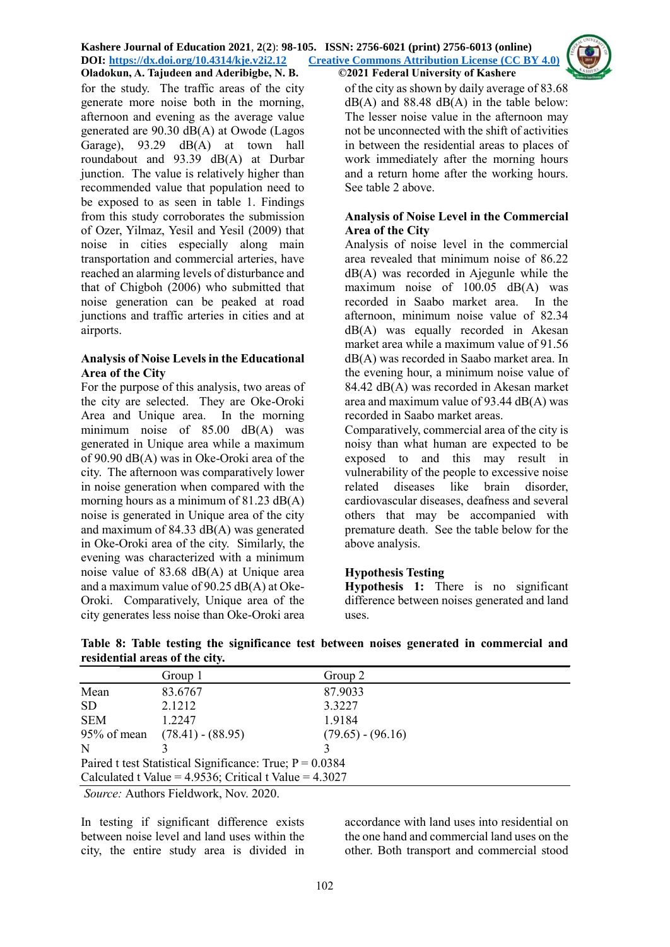for the study. The traffic areas of the city generate more noise both in the morning, afternoon and evening as the average value generated are 90.30 dB(A) at Owode (Lagos Garage), 93.29 dB(A) at town hall roundabout and 93.39 dB(A) at Durbar junction. The value is relatively higher than recommended value that population need to be exposed to as seen in table 1. Findings from this study corroborates the submission of Ozer, Yilmaz, Yesil and Yesil (2009) that noise in cities especially along main transportation and commercial arteries, have reached an alarming levels of disturbance and that of Chigboh (2006) who submitted that noise generation can be peaked at road junctions and traffic arteries in cities and at airports.

### **Analysis of Noise Levels in the Educational Area of the City**

For the purpose of this analysis, two areas of the city are selected. They are Oke-Oroki Area and Unique area. In the morning minimum noise of 85.00 dB(A) was generated in Unique area while a maximum of 90.90 dB(A) was in Oke-Oroki area of the city. The afternoon was comparatively lower in noise generation when compared with the morning hours as a minimum of 81.23 dB(A) noise is generated in Unique area of the city and maximum of 84.33 dB(A) was generated in Oke-Oroki area of the city. Similarly, the evening was characterized with a minimum noise value of 83.68 dB(A) at Unique area and a maximum value of 90.25 dB(A) at Oke-Oroki. Comparatively, Unique area of the city generates less noise than Oke-Oroki area

of the city as shown by daily average of 83.68  $dB(A)$  and 88.48  $dB(A)$  in the table below: The lesser noise value in the afternoon may not be unconnected with the shift of activities in between the residential areas to places of work immediately after the morning hours and a return home after the working hours. See table 2 above.

### **Analysis of Noise Level in the Commercial Area of the City**

Analysis of noise level in the commercial area revealed that minimum noise of 86.22 dB(A) was recorded in Ajegunle while the maximum noise of 100.05 dB(A) was recorded in Saabo market area. In the afternoon, minimum noise value of 82.34 dB(A) was equally recorded in Akesan market area while a maximum value of 91.56 dB(A) was recorded in Saabo market area. In the evening hour, a minimum noise value of 84.42 dB(A) was recorded in Akesan market area and maximum value of 93.44 dB(A) was recorded in Saabo market areas.

Comparatively, commercial area of the city is noisy than what human are expected to be exposed to and this may result in vulnerability of the people to excessive noise related diseases like brain disorder, cardiovascular diseases, deafness and several others that may be accompanied with premature death. See the table below for the above analysis.

# **Hypothesis Testing**

**Hypothesis 1:** There is no significant difference between noises generated and land uses.

| Group 1                                                     | Group 2             |  |  |  |  |  |
|-------------------------------------------------------------|---------------------|--|--|--|--|--|
| 83.6767                                                     | 87.9033             |  |  |  |  |  |
| 2.1212                                                      | 3.3227              |  |  |  |  |  |
| 1.2247                                                      | 1.9184              |  |  |  |  |  |
| 95% of mean (78.41) - (88.95)                               | $(79.65) - (96.16)$ |  |  |  |  |  |
|                                                             |                     |  |  |  |  |  |
| Paired t test Statistical Significance: True; $P = 0.0384$  |                     |  |  |  |  |  |
| Calculated t Value = $4.9536$ ; Critical t Value = $4.3027$ |                     |  |  |  |  |  |
|                                                             |                     |  |  |  |  |  |

**Table 8: Table testing the significance test between noises generated in commercial and residential areas of the city.**

*Source:* Authors Fieldwork, Nov. 2020.

In testing if significant difference exists between noise level and land uses within the city, the entire study area is divided in

accordance with land uses into residential on the one hand and commercial land uses on the other. Both transport and commercial stood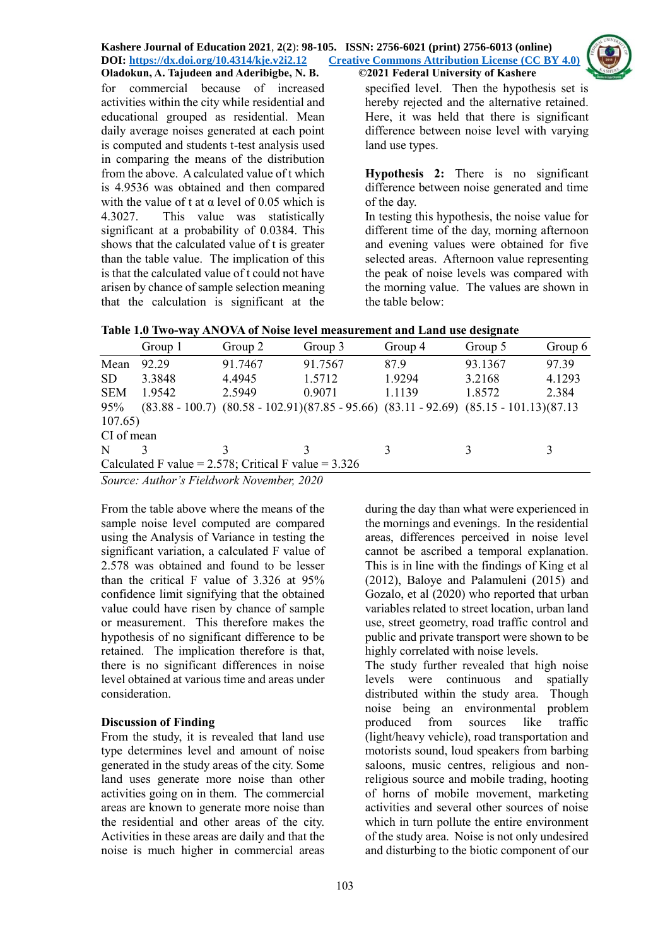

for commercial because of increased activities within the city while residential and educational grouped as residential. Mean daily average noises generated at each point is computed and students t-test analysis used in comparing the means of the distribution from the above. A calculated value of t which is 4.9536 was obtained and then compared with the value of t at  $\alpha$  level of 0.05 which is 4.3027. This value was statistically significant at a probability of 0.0384. This shows that the calculated value of t is greater than the table value. The implication of this is that the calculated value of t could not have arisen by chance of sample selection meaning that the calculation is significant at the

specified level. Then the hypothesis set is hereby rejected and the alternative retained. Here, it was held that there is significant difference between noise level with varying land use types.

**Hypothesis 2:** There is no significant difference between noise generated and time of the day.

In testing this hypothesis, the noise value for different time of the day, morning afternoon and evening values were obtained for five selected areas. Afternoon value representing the peak of noise levels was compared with the morning value. The values are shown in the table below:

|  |  |  |  |  |  | Table 1.0 Two-way ANOVA of Noise level measurement and Land use designate |
|--|--|--|--|--|--|---------------------------------------------------------------------------|
|--|--|--|--|--|--|---------------------------------------------------------------------------|

|            | Group 1 | Group 2                                                                                         | Group 3 | Group 4 | Group 5 | Group 6 |  |
|------------|---------|-------------------------------------------------------------------------------------------------|---------|---------|---------|---------|--|
| Mean       | 92.29   | 91.7467                                                                                         | 91.7567 | 87.9    | 93.1367 | 97.39   |  |
| <b>SD</b>  | 3.3848  | 4.4945                                                                                          | 1.5712  | 1.9294  | 3.2168  | 4.1293  |  |
| <b>SEM</b> | 1.9542  | 2.5949                                                                                          | 0.9071  | 1.1139  | 1.8572  | 2.384   |  |
| 95%        |         | $(83.88 - 100.7)$ $(80.58 - 102.91)(87.85 - 95.66)$ $(83.11 - 92.69)$ $(85.15 - 101.13)(87.13)$ |         |         |         |         |  |
| 107.65)    |         |                                                                                                 |         |         |         |         |  |
| CI of mean |         |                                                                                                 |         |         |         |         |  |
| N          |         |                                                                                                 |         | 3       | ζ       |         |  |
|            |         | Calculated F value = $2.578$ ; Critical F value = $3.326$                                       |         |         |         |         |  |

*Source: Author's Fieldwork November, 2020*

From the table above where the means of the sample noise level computed are compared using the Analysis of Variance in testing the significant variation, a calculated F value of 2.578 was obtained and found to be lesser than the critical F value of 3.326 at 95% confidence limit signifying that the obtained value could have risen by chance of sample or measurement. This therefore makes the hypothesis of no significant difference to be retained. The implication therefore is that, there is no significant differences in noise level obtained at various time and areas under consideration.

# **Discussion of Finding**

From the study, it is revealed that land use type determines level and amount of noise generated in the study areas of the city. Some land uses generate more noise than other activities going on in them. The commercial areas are known to generate more noise than the residential and other areas of the city. Activities in these areas are daily and that the noise is much higher in commercial areas

during the day than what were experienced in the mornings and evenings. In the residential areas, differences perceived in noise level cannot be ascribed a temporal explanation. This is in line with the findings of King et al (2012), Baloye and Palamuleni (2015) and Gozalo, et al (2020) who reported that urban variables related to street location, urban land use, street geometry, road traffic control and public and private transport were shown to be highly correlated with noise levels.

The study further revealed that high noise levels were continuous and spatially distributed within the study area. Though noise being an environmental problem produced from sources like traffic (light/heavy vehicle), road transportation and motorists sound, loud speakers from barbing saloons, music centres, religious and nonreligious source and mobile trading, hooting of horns of mobile movement, marketing activities and several other sources of noise which in turn pollute the entire environment of the study area. Noise is not only undesired and disturbing to the biotic component of our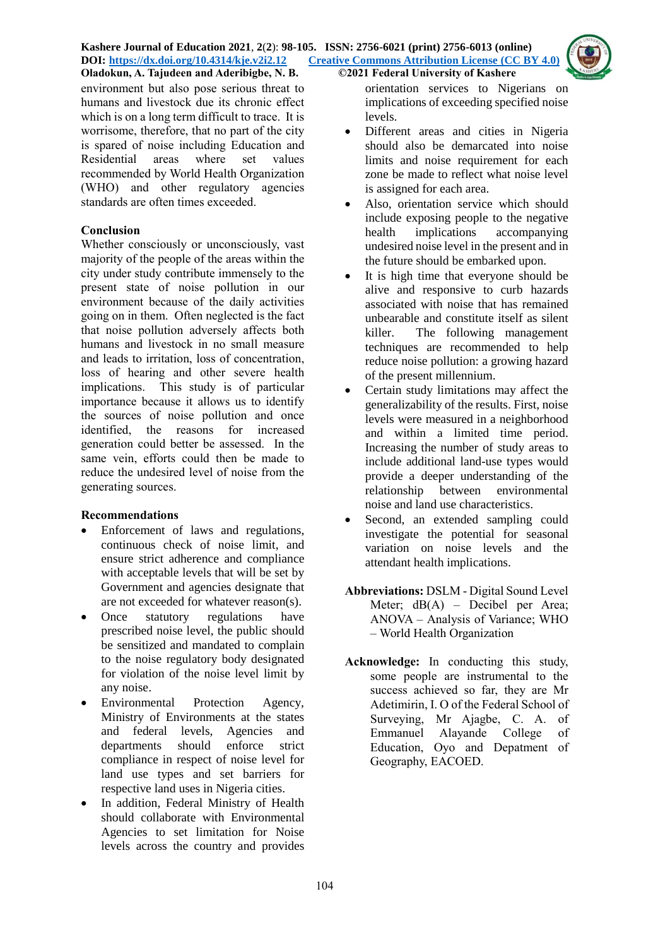

environment but also pose serious threat to humans and livestock due its chronic effect which is on a long term difficult to trace. It is worrisome, therefore, that no part of the city is spared of noise including Education and Residential areas where set values recommended by World Health Organization (WHO) and other regulatory agencies standards are often times exceeded.

# **Conclusion**

Whether consciously or unconsciously, vast majority of the people of the areas within the city under study contribute immensely to the present state of noise pollution in our environment because of the daily activities going on in them. Often neglected is the fact that noise pollution adversely affects both humans and livestock in no small measure and leads to irritation, loss of concentration, loss of hearing and other severe health implications. This study is of particular importance because it allows us to identify the sources of noise pollution and once identified, the reasons for increased generation could better be assessed. In the same vein, efforts could then be made to reduce the undesired level of noise from the generating sources.

# **Recommendations**

- Enforcement of laws and regulations, continuous check of noise limit, and ensure strict adherence and compliance with acceptable levels that will be set by Government and agencies designate that are not exceeded for whatever reason(s).
- Once statutory regulations have prescribed noise level, the public should be sensitized and mandated to complain to the noise regulatory body designated for violation of the noise level limit by any noise.
- Environmental Protection Agency, Ministry of Environments at the states and federal levels, Agencies and departments should enforce strict compliance in respect of noise level for land use types and set barriers for respective land uses in Nigeria cities.
- In addition, Federal Ministry of Health should collaborate with Environmental Agencies to set limitation for Noise levels across the country and provides

orientation services to Nigerians on implications of exceeding specified noise levels.

- Different areas and cities in Nigeria should also be demarcated into noise limits and noise requirement for each zone be made to reflect what noise level is assigned for each area.
- Also, orientation service which should include exposing people to the negative health implications accompanying undesired noise level in the present and in the future should be embarked upon.
- It is high time that everyone should be alive and responsive to curb hazards associated with noise that has remained unbearable and constitute itself as silent killer. The following management techniques are recommended to help reduce noise pollution: a growing hazard of the present millennium.
- Certain study limitations may affect the generalizability of the results. First, noise levels were measured in a neighborhood and within a limited time period. Increasing the number of study areas to include additional land-use types would provide a deeper understanding of the relationship between environmental noise and land use characteristics.
- Second, an extended sampling could investigate the potential for seasonal variation on noise levels and the attendant health implications.
- **Abbreviations:** DSLM Digital Sound Level Meter; dB(A) – Decibel per Area; ANOVA – Analysis of Variance; WHO – World Health Organization
- **Acknowledge:** In conducting this study, some people are instrumental to the success achieved so far, they are Mr Adetimirin, I. O of the Federal School of Surveying, Mr Ajagbe, C. A. of Emmanuel Alayande College of Education, Oyo and Depatment of Geography, EACOED.